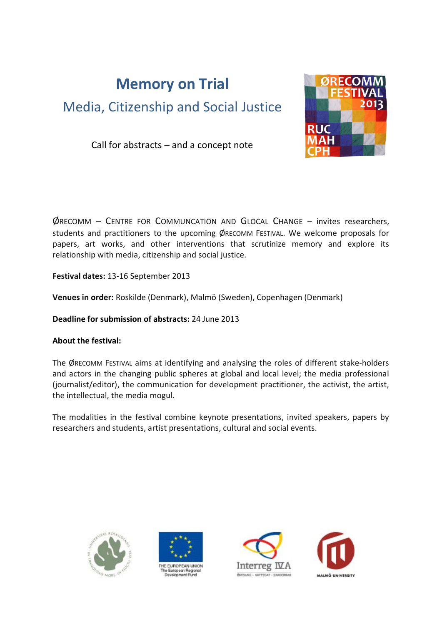# **Memory on Trial** Media, Citizenship and Social Justice



Call for abstracts – and a concept note

ØRECOMM – CENTRE FOR COMMUNCATION AND GLOCAL CHANGE – invites researchers, students and practitioners to the upcoming ØRECOMM FESTIVAL. We welcome proposals for papers, art works, and other interventions that scrutinize memory and explore its relationship with media, citizenship and social justice.

**Festival dates:** 13-16 September 2013

**Venues in order:** Roskilde (Denmark), Malmö (Sweden), Copenhagen (Denmark)

## **Deadline for submission of abstracts:** 24 June 2013

## **About the festival:**

The ØRECOMM FESTIVAL aims at identifying and analysing the roles of different stake-holders and actors in the changing public spheres at global and local level; the media professional (journalist/editor), the communication for development practitioner, the activist, the artist, the intellectual, the media mogul.

The modalities in the festival combine keynote presentations, invited speakers, papers by researchers and students, artist presentations, cultural and social events.







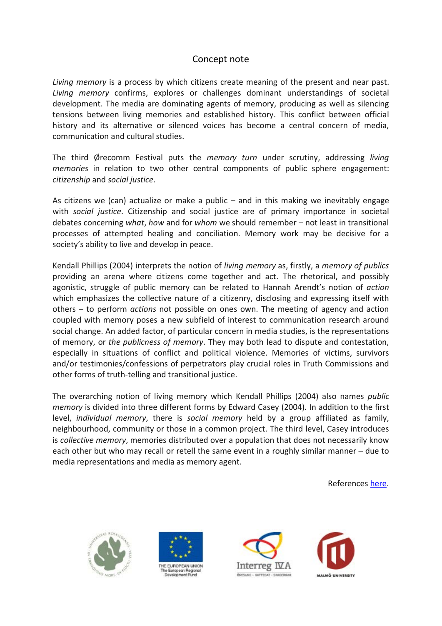# Concept note

*Living memory* is a process by which citizens create meaning of the present and near past. *Living memory* confirms, explores or challenges dominant understandings of societal development. The media are dominating agents of memory, producing as well as silencing tensions between living memories and established history. This conflict between official history and its alternative or silenced voices has become a central concern of media, communication and cultural studies.

The third Ørecomm Festival puts the *memory turn* under scrutiny, addressing *living memories* in relation to two other central components of public sphere engagement: *citizenship* and *social justice*.

As citizens we (can) actualize or make a public – and in this making we inevitably engage with *social justice*. Citizenship and social justice are of primary importance in societal debates concerning *what*, *how* and for *whom* we should remember – not least in transitional processes of attempted healing and conciliation. Memory work may be decisive for a society's ability to live and develop in peace.

Kendall Phillips (2004) interprets the notion of *living memory* as, firstly, a *memory of publics* providing an arena where citizens come together and act. The rhetorical, and possibly agonistic, struggle of public memory can be related to Hannah Arendt's notion of *action* which emphasizes the collective nature of a citizenry, disclosing and expressing itself with others – to perform *actions* not possible on ones own. The meeting of agency and action coupled with memory poses a new subfield of interest to communication research around social change. An added factor, of particular concern in media studies, is the representations of memory, or *the publicness of memory*. They may both lead to dispute and contestation, especially in situations of conflict and political violence. Memories of victims, survivors and/or testimonies/confessions of perpetrators play crucial roles in Truth Commissions and other forms of truth-telling and transitional justice.

The overarching notion of living memory which Kendall Phillips (2004) also names *public memory* is divided into three different forms by Edward Casey (2004). In addition to the first level, *individual memory*, there is *social memory* held by a group affiliated as family, neighbourhood, community or those in a common project. The third level, Casey introduces is *collective memory*, memories distributed over a population that does not necessarily know each other but who may recall or retell the same event in a roughly similar manner – due to media representations and media as memory agent.

References [here.](http://orecomm.net/wp-content/uploads/2013/03/references-2013.html)







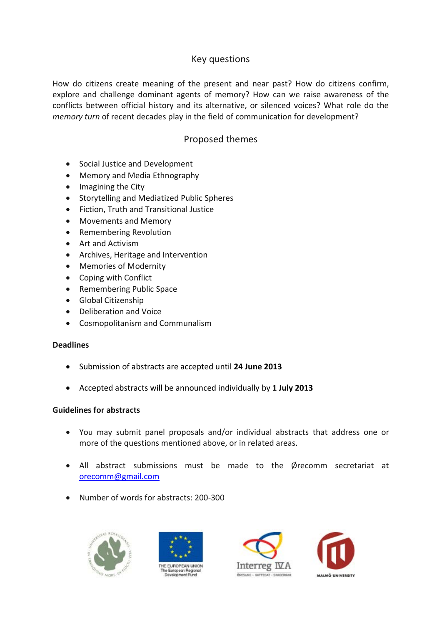## Key questions

How do citizens create meaning of the present and near past? How do citizens confirm, explore and challenge dominant agents of memory? How can we raise awareness of the conflicts between official history and its alternative, or silenced voices? What role do the *memory turn* of recent decades play in the field of communication for development?

# Proposed themes

- Social Justice and Development
- Memory and Media Ethnography
- Imagining the City
- Storytelling and Mediatized Public Spheres
- Fiction, Truth and Transitional Justice
- Movements and Memory
- Remembering Revolution
- Art and Activism
- Archives, Heritage and Intervention
- Memories of Modernity
- Coping with Conflict
- Remembering Public Space
- Global Citizenship
- Deliberation and Voice
- Cosmopolitanism and Communalism

#### **Deadlines**

- Submission of abstracts are accepted until **24 June 2013**
- Accepted abstracts will be announced individually by **1 July 2013**

#### **Guidelines for abstracts**

- You may submit panel proposals and/or individual abstracts that address one or more of the questions mentioned above, or in related areas.
- All abstract submissions must be made to the Ørecomm secretariat at [orecomm@gmail.com](mailto:orecomm@gmail.com)
- Number of words for abstracts: 200-300